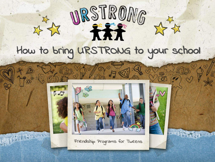

## How to bring URSTRONG to your school



Friendship Programs for Tweens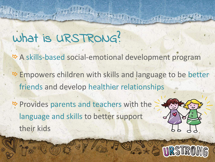## What is URSTRONG?

*B* A skills-based social-emotional development program

 $\triangle$  **Empowers children with skills and language to be better** friends and develop healthier relationships

*B* Provides parents and teachers with the language and skills to better support their kids

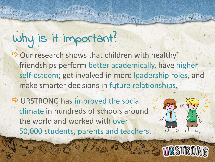# Why is it important?

 $\rightarrow$  Our research shows that children with healthy friendships perform better academically, have higher self-esteem; get involved in more leadership roles, and make smarter decisions in future relationships.

**B** URSTRONG has improved the social climate in hundreds of schools around the world and worked with over 50,000 students, parents and teachers.

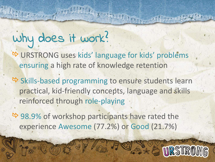# Why does it work?

- *B* URSTRONG uses kids' language for kids' problems ensuring a high rate of knowledge retention
- $\triangle$  **Skills-based programming to ensure students learn** practical, kid-friendly concepts, language and skills reinforced through role-playing
- $\rightarrow$  **98.9% of workshop participants have rated the** experience Awesome (77.2%) or Good (21.7%)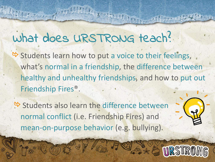# What does URSTRONG teach?

 $\triangle$  Students learn how to put a voice to their feelings, what's normal in a friendship, the difference between healthy and unhealthy friendships, and how to put out Friendship Fires®.

 $\rightarrow$  **Students also learn the difference between** normal conflict (i.e. Friendship Fires) and mean-on-purpose behavior (e.g. bullying).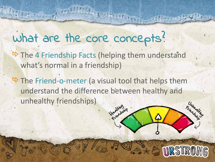## what are the core concepts?

- $\triangle$  **The 4 Friendship Facts (helping them understand** what's normal in a friendship)
- $\rightarrow$  **The Friend-o-meter (a visual tool that helps them** understand the difference between healthy and unhealthy friendships)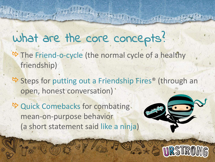## what are the core concepts?

- *B* The Friend-o-cycle (the normal cycle of a healthy friendship)
- $\triangle$  **Steps for putting out a Friendship Fires<sup>®</sup> (through an** open, honest conversation)'
- <sup> $\rightarrow$ </sup> Quick Comebacks for combating mean-on-purpose behavior (a short statement said like a ninja)

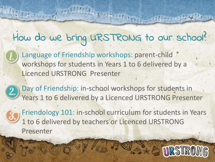### How do we bring URSTRONG to our school?

Language of Friendship workshops: parent-child workshops for students in Years 1 to 6 delivered by a Licenced URSTRONG Presenter

Day of Friendship: in-school workshops for students in Years 1 to 6 delivered by a Licenced URSTRONG Presenter

Friendology 101: in-school curriculum for students in Years 1 to 6 delivered by teachers or Licenced URSTRONG Presenter

**DR STRAME**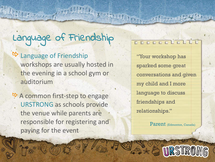# Language of Friendship

#### Language of Friendship

workshops are usually hosted in the evening in a school gym or auditorium

**B** A common first-step to engage URSTRONG as schools provide the venue while parents are responsible for registering and paying for the event

#### DOCCCCCCCCCC

"Your workshop has sparked some great conversations and given my child and I more language to discuss friendships and relationships."

Parent (Edmonton, Canada)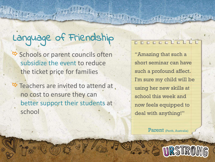# Language of Friendship

**B** Schools or parent councils often subsidize the event to reduce the ticket price for families

**B** Teachers are invited to attend at no cost to ensure they can better support their students at school

#### DOCOGLOUGHT

"Amazing that such a short seminar can have such a profound affect. I'm sure my child will be using her new skills at school this week and now feels equipped to deal with anything!"

Parent (Perth, Australia)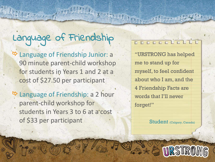# Language of Friendship

**B** Language of Friendship Junior: a 90 minute parent-child workshop for students in Years 1 and 2 at a cost of \$27.50 per participant

**B** Language of Friendship: a 2 hour parent-child workshop for students in Years 3 to 6 at a cost of \$33 per participant

#### DECECLOLLE

"URSTRONG has helped me to stand up for myself, to feel confident about who I am, and the 4 Friendship Facts are words that I'll never forget!"

Student (Calgary, Canada)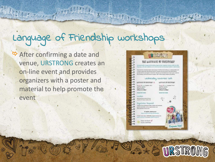# Language of Friendship workshops

**B** After confirming a date and venue, URSTRONG creates an on-line event and provides organizers with a poster and material to help promote the event

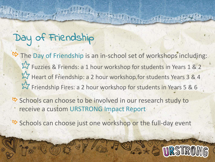### Day of Friendship

- **B** The Day of Friendship is an in-school set of workshops including: LY Fuzzies & Friends: a 1 hour workshop for students in Years 1 & 2 LY Heart of Friendship: a 2 hour workshop for students Years 3 & 4 LY Friendship Fires: a 2 hour workshop for students in Years 5 & 6
- **B** Schools can choose to be involved in our research study to receive a custom URSTRONG Impact Report
- **B** Schools can choose just one workshop or the full-day event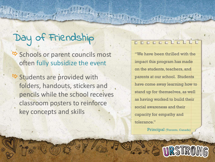### Day of Friendship

**B** Schools or parent councils most often fully subsidize the event

 $\rightarrow$  **Students are provided with** folders, handouts, stickers and pencils while the school receives classroom posters to reinforce key concepts and skills

#### DOCCOCLOUGH

"We have been thrilled with the impact this program has made on the students, teachers, and parents at our school. Students have come away learning how to stand up for themselves, as well as having worked to build their social awareness and their capacity for empathy and tolerance."

Principal (Toronto, Canada)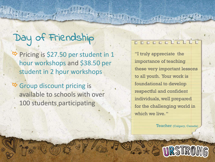### Day of Friendship

**B** Pricing is \$27.50 per student in 1 hour workshops and \$38.50 per student in 2 hour workshops

**B** Group discount pricing is available to schools with over 100 students participating

#### pppppiolid

"I truly appreciate the importance of teaching these very important lessons to all youth. Your work is foundational to develop respectful and confident individuals, well prepared for the challenging world in which we live. "

Teacher (Calgary, Canada)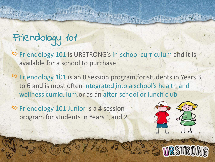## Friendology 101

 $\triangleright$  Friendology 101 is URSTRONG's in-school curriculum and it is available for a school to purchase

 $\triangleright$  **Friendology 101 is an 8 session program for students in Years 3** to 6 and is most often integrated into a school's health and wellness curriculum or as an after-school or lunch club

**B** Friendology 101 Junior is a 4 session program for students in Years 1 and 2

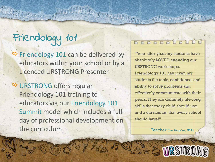## Friendology 101

 $\rightarrow$  **Friendology 101 can be delivered by** educators within your school or by a Licenced URSTRONG Presenter

 $\rightarrow$  **URSTRONG offers regular** Friendology 101 training to educators via our Friendology 101 Summit model which includes a fullday of professional development on the curriculum

#### ppppppiplit

"Year after year, my students have absolutely LOVED attending our URSTRONG workshops. Friendology 101 has given my students the tools, confidence, and ability to solve problems and effectively communicate with their peers. They are definitely life-long skills that every child should use, and a curriculum that every school should have!"

Teacher (Los Angeles, USA)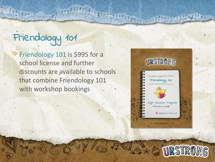# Friendology 101

 $\div$  **Friendology 101 is \$995 for a** school license and further discounts are available to schools that combine Friendology 101 with workshop bookings



URSTRONG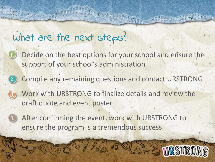### what are the next steps?

- Decide on the best options for your school and ensure the support of your school's administration
- Compile any remaining questions and contact URSTRONG
	- Work with URSTRONG to finalize details and review the draft quote and event poster
		- After confirming the event, work with URSTRONG to ensure the program is a tremendous success